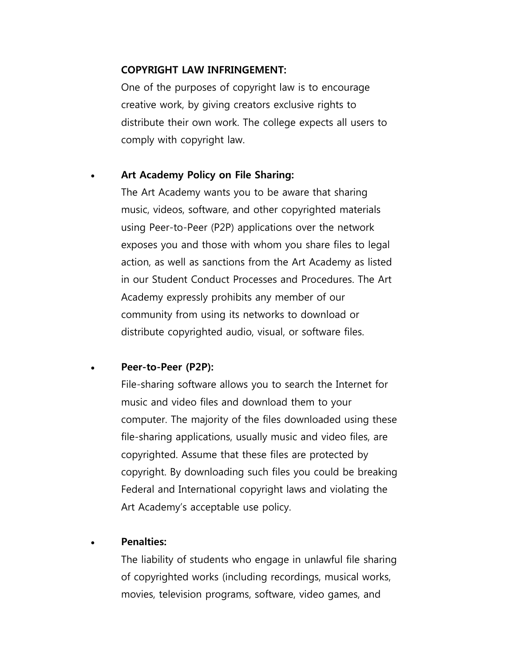## **COPYRIGHT LAW INFRINGEMENT:**

One of the purposes of copyright law is to encourage creative work, by giving creators exclusive rights to distribute their own work. The college expects all users to comply with copyright law.

### **Art Academy Policy on File Sharing:**

The Art Academy wants you to be aware that sharing music, videos, software, and other copyrighted materials using Peer-to-Peer (P2P) applications over the network exposes you and those with whom you share files to legal action, as well as sanctions from the Art Academy as listed in our Student Conduct Processes and Procedures. The Art Academy expressly prohibits any member of our community from using its networks to download or distribute copyrighted audio, visual, or software files.

#### **Peer-to-Peer (P2P):**

File-sharing software allows you to search the Internet for music and video files and download them to your computer. The majority of the files downloaded using these file-sharing applications, usually music and video files, are copyrighted. Assume that these files are protected by copyright. By downloading such files you could be breaking Federal and International copyright laws and violating the Art Academy's acceptable use policy.

## **Penalties:**

The liability of students who engage in unlawful file sharing of copyrighted works (including recordings, musical works, movies, television programs, software, video games, and